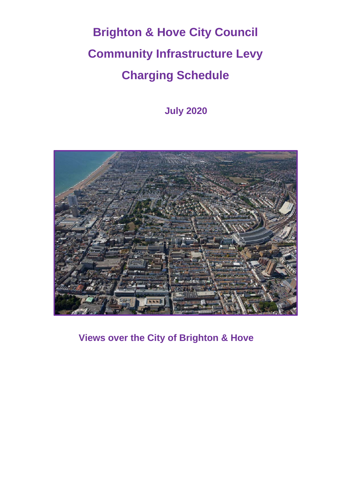# **Brighton & Hove City Council Community Infrastructure Levy Charging Schedule**

**July 2020**



**Views over the City of Brighton & Hove**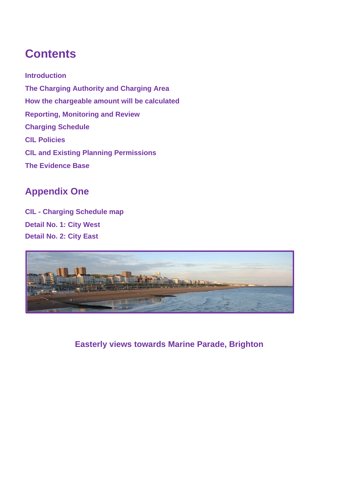# **Contents**

**Introduction The Charging Authority and Charging Area How the chargeable amount will be calculated Reporting, Monitoring and Review Charging Schedule CIL Policies CIL and Existing Planning Permissions The Evidence Base**

### **Appendix One**

**CIL - Charging Schedule map Detail No. 1: City West Detail No. 2: City East**



**Easterly views towards Marine Parade, Brighton**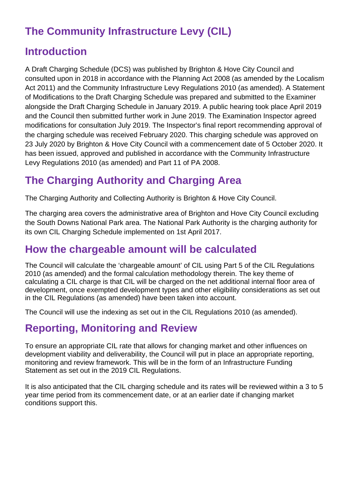# **The Community Infrastructure Levy (CIL)**

### **Introduction**

A Draft Charging Schedule (DCS) was published by Brighton & Hove City Council and consulted upon in 2018 in accordance with the Planning Act 2008 (as amended by the Localism Act 2011) and the Community Infrastructure Levy Regulations 2010 (as amended). A Statement of Modifications to the Draft Charging Schedule was prepared and submitted to the Examiner alongside the Draft Charging Schedule in January 2019. A public hearing took place April 2019 and the Council then submitted further work in June 2019. The Examination Inspector agreed modifications for consultation July 2019. The Inspector's final report recommending approval of the charging schedule was received February 2020. This charging schedule was approved on 23 July 2020 by Brighton & Hove City Council with a commencement date of 5 October 2020. It has been issued, approved and published in accordance with the Community Infrastructure Levy Regulations 2010 (as amended) and Part 11 of PA 2008.

# **The Charging Authority and Charging Area**

The Charging Authority and Collecting Authority is Brighton & Hove City Council.

The charging area covers the administrative area of Brighton and Hove City Council excluding the South Downs National Park area. The National Park Authority is the charging authority for its own CIL Charging Schedule implemented on 1st April 2017.

### **How the chargeable amount will be calculated**

The Council will calculate the 'chargeable amount' of CIL using Part 5 of the CIL Regulations 2010 (as amended) and the formal calculation methodology therein. The key theme of calculating a CIL charge is that CIL will be charged on the net additional internal floor area of development, once exempted development types and other eligibility considerations as set out in the CIL Regulations (as amended) have been taken into account.

The Council will use the indexing as set out in the CIL Regulations 2010 (as amended).

# **Reporting, Monitoring and Review**

To ensure an appropriate CIL rate that allows for changing market and other influences on development viability and deliverability, the Council will put in place an appropriate reporting, monitoring and review framework. This will be in the form of an Infrastructure Funding Statement as set out in the 2019 CIL Regulations.

It is also anticipated that the CIL charging schedule and its rates will be reviewed within a 3 to 5 year time period from its commencement date, or at an earlier date if changing market conditions support this.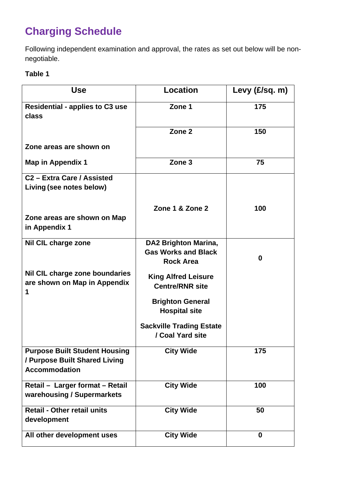# **Charging Schedule**

Following independent examination and approval, the rates as set out below will be nonnegotiable.

#### **Table 1**

| <b>Use</b>                                                                                    | <b>Location</b>                                                                                         | Levy $(E/\text{sq. m})$ |
|-----------------------------------------------------------------------------------------------|---------------------------------------------------------------------------------------------------------|-------------------------|
| <b>Residential - applies to C3 use</b><br>class                                               | Zone 1                                                                                                  | 175                     |
|                                                                                               | Zone 2                                                                                                  | 150                     |
| Zone areas are shown on                                                                       |                                                                                                         |                         |
| Map in Appendix 1                                                                             | Zone 3                                                                                                  | 75                      |
| C <sub>2</sub> - Extra Care / Assisted<br>Living (see notes below)                            |                                                                                                         |                         |
| Zone areas are shown on Map<br>in Appendix 1                                                  | Zone 1 & Zone 2                                                                                         | 100                     |
| Nil CIL charge zone                                                                           | <b>DA2 Brighton Marina,</b><br><b>Gas Works and Black</b><br><b>Rock Area</b>                           | 0                       |
| Nil CIL charge zone boundaries<br>are shown on Map in Appendix<br>1                           | <b>King Alfred Leisure</b><br><b>Centre/RNR site</b><br><b>Brighton General</b><br><b>Hospital site</b> |                         |
|                                                                                               | <b>Sackville Trading Estate</b><br>/ Coal Yard site                                                     |                         |
| <b>Purpose Built Student Housing</b><br>/ Purpose Built Shared Living<br><b>Accommodation</b> | <b>City Wide</b>                                                                                        | 175                     |
| Retail - Larger format - Retail<br>warehousing / Supermarkets                                 | <b>City Wide</b>                                                                                        | 100                     |
| <b>Retail - Other retail units</b><br>development                                             | <b>City Wide</b>                                                                                        | 50                      |
| All other development uses                                                                    | <b>City Wide</b>                                                                                        | 0                       |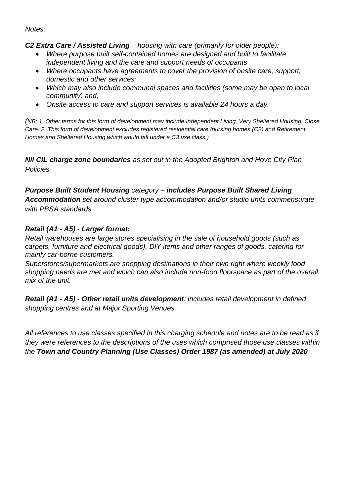*Notes:* 

*C2 Extra Care / Assisted Living – housing with care (primarily for older people):*

- *Where purpose built self-contained homes are designed and built to facilitate independent living and the care and support needs of occupants*
- *Where occupants have agreements to cover the provision of onsite care, support, domestic and other services;*
- *Which may also include communal spaces and facilities (some may be open to local community) and;*
- *Onsite access to care and support services is available 24 hours a day.*

*(NB: 1. Other terms for this form of development may include Independent Living, Very Sheltered Housing, Close Care. 2. This form of development excludes registered residential care /nursing homes (C2) and Retirement Homes and Sheltered Housing which would fall under a C3 use class.)*

*Nil CIL charge zone boundaries as set out in the Adopted Brighton and Hove City Plan Policies.*

*Purpose Built Student Housing category – includes Purpose Built Shared Living Accommodation set around cluster type accommodation and/or studio units commensurate with PBSA standards*

#### *Retail (A1 - A5) - Larger format:*

*Retail warehouses are large stores specialising in the sale of household goods (such as carpets, furniture and electrical goods), DIY items and other ranges of goods, catering for mainly car-borne customers.*

*Superstores/supermarkets are shopping destinations in their own right where weekly food shopping needs are met and which can also include non-food floorspace as part of the overall mix of the unit.* 

*Retail (A1 - A5) - Other retail units development: includes retail development in defined shopping centres and at Major Sporting Venues.*

*All references to use classes specified in this charging schedule and notes are to be read as if they were references to the descriptions of the uses which comprised those use classes within the Town and Country Planning (Use Classes) Order 1987 (as amended) at July 2020*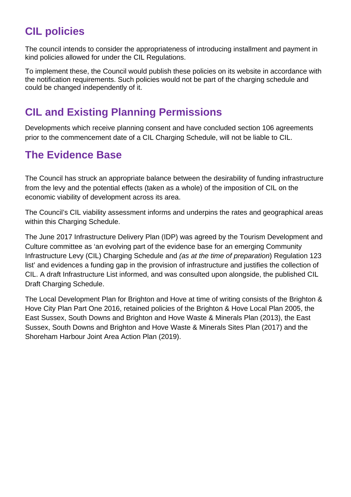# **CIL policies**

The council intends to consider the appropriateness of introducing installment and payment in kind policies allowed for under the CIL Regulations.

To implement these, the Council would publish these policies on its website in accordance with the notification requirements. Such policies would not be part of the charging schedule and could be changed independently of it.

# **CIL and Existing Planning Permissions**

Developments which receive planning consent and have concluded section 106 agreements prior to the commencement date of a CIL Charging Schedule, will not be liable to CIL.

### **The Evidence Base**

The Council has struck an appropriate balance between the desirability of funding infrastructure from the levy and the potential effects (taken as a whole) of the imposition of CIL on the economic viability of development across its area.

The Council's CIL viability assessment informs and underpins the rates and geographical areas within this Charging Schedule.

The June 2017 Infrastructure Delivery Plan (IDP) was agreed by the Tourism Development and Culture committee as 'an evolving part of the evidence base for an emerging Community Infrastructure Levy (CIL) Charging Schedule and *(as at the time of preparation*) Regulation 123 list' and evidences a funding gap in the provision of infrastructure and justifies the collection of CIL. A draft Infrastructure List informed, and was consulted upon alongside, the published CIL Draft Charging Schedule.

The Local Development Plan for Brighton and Hove at time of writing consists of the Brighton & Hove City Plan Part One 2016, retained policies of the Brighton & Hove Local Plan 2005, the East Sussex, South Downs and Brighton and Hove Waste & Minerals Plan (2013), the East Sussex, South Downs and Brighton and Hove Waste & Minerals Sites Plan (2017) and the Shoreham Harbour Joint Area Action Plan (2019).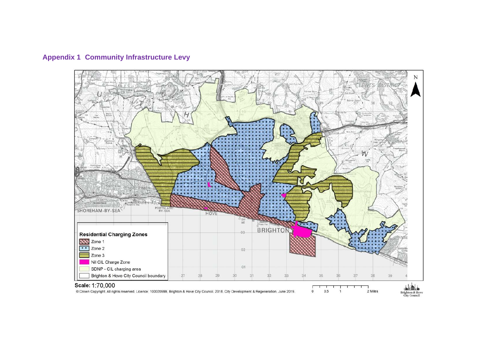

#### **Appendix 1 Community Infrastructure Levy**

@ Crown Copyright. All rights reserved. Licence: 100020999, Brighton & Hove City Council. 2018. City Development & Regeneration, June 2019.

Brighton & Hove<br>City Council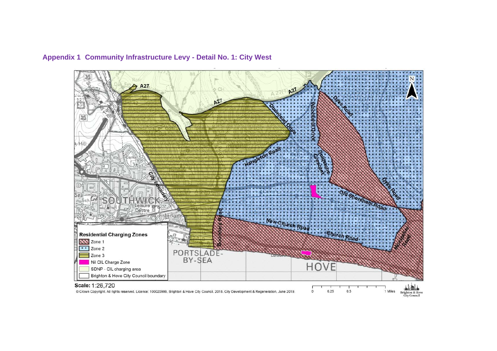

#### **Appendix 1 Community Infrastructure Levy - Detail No. 1: City West**

@ Crown Copyright. All rights reserved. Licence: 100020999, Brighton & Hove City Council. 2018. City Development & Regeneration, June 2019.

Brighton & Hove<br>City Council